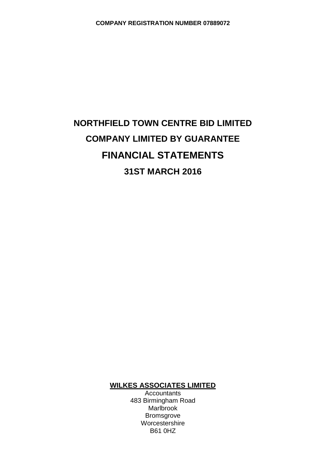# **NORTHFIELD TOWN CENTRE BID LIMITED COMPANY LIMITED BY GUARANTEE FINANCIAL STATEMENTS 31ST MARCH 2016**

# **WILKES ASSOCIATES LIMITED**

**Accountants** 483 Birmingham Road Marlbrook Bromsgrove Worcestershire B61 0HZ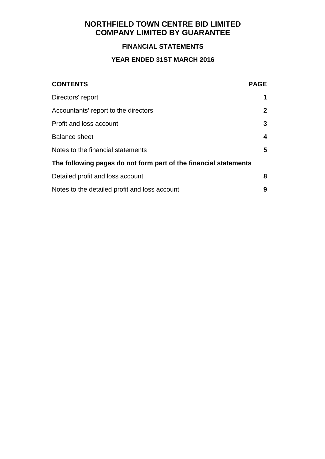# **FINANCIAL STATEMENTS**

# **YEAR ENDED 31ST MARCH 2016**

| <b>CONTENTS</b>                                                  | <b>PAGE</b>  |
|------------------------------------------------------------------|--------------|
| Directors' report                                                | 1            |
| Accountants' report to the directors                             | $\mathbf{2}$ |
| Profit and loss account                                          | 3            |
| <b>Balance sheet</b>                                             | 4            |
| Notes to the financial statements                                | 5            |
| The following pages do not form part of the financial statements |              |
| Detailed profit and loss account                                 | 8            |
| Notes to the detailed profit and loss account                    | 9            |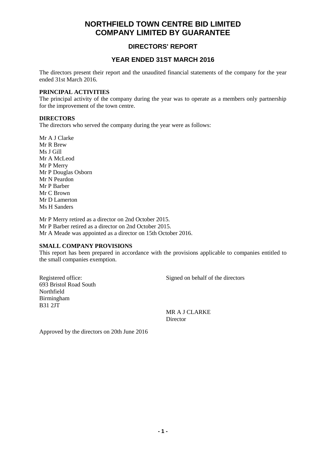### **DIRECTORS' REPORT**

### **YEAR ENDED 31ST MARCH 2016**

The directors present their report and the unaudited financial statements of the company for the year ended 31st March 2016.

#### **PRINCIPAL ACTIVITIES**

The principal activity of the company during the year was to operate as a members only partnership for the improvement of the town centre.

#### **DIRECTORS**

The directors who served the company during the year were as follows:

Mr A J Clarke Mr R Brew Ms J Gill Mr A McLeod Mr P Merry Mr P Douglas Osborn Mr N Peardon Mr P Barber Mr C Brown Mr D Lamerton Ms H Sanders

Mr P Merry retired as a director on 2nd October 2015. Mr P Barber retired as a director on 2nd October 2015. Mr A Meade was appointed as a director on 15th October 2016.

#### **SMALL COMPANY PROVISIONS**

This report has been prepared in accordance with the provisions applicable to companies entitled to the small companies exemption.

693 Bristol Road South Northfield Birmingham B31 2JT

Registered office: Signed on behalf of the directors

MR A J CLARKE Director

Approved by the directors on 20th June 2016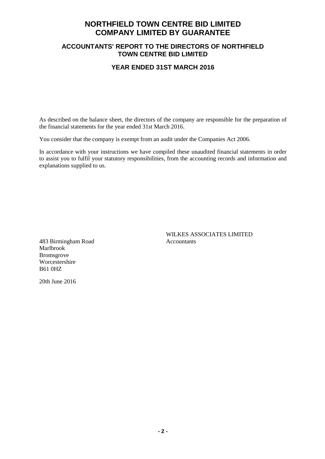### **ACCOUNTANTS' REPORT TO THE DIRECTORS OF NORTHFIELD TOWN CENTRE BID LIMITED**

#### **YEAR ENDED 31ST MARCH 2016**

As described on the balance sheet, the directors of the company are responsible for the preparation of the financial statements for the year ended 31st March 2016.

You consider that the company is exempt from an audit under the Companies Act 2006.

In accordance with your instructions we have compiled these unaudited financial statements in order to assist you to fulfil your statutory responsibilities, from the accounting records and information and explanations supplied to us.

483 Birmingham Road Accountants Marlbrook Bromsgrove Worcestershire B61 0HZ

WILKES ASSOCIATES LIMITED

20th June 2016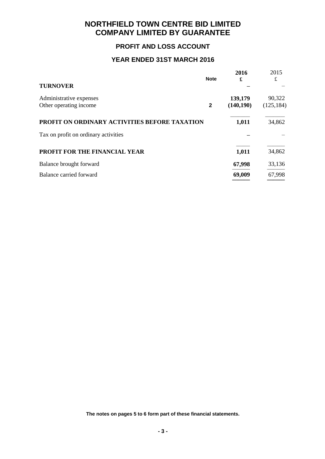### **PROFIT AND LOSS ACCOUNT**

# **YEAR ENDED 31ST MARCH 2016**

|                                               | <b>Note</b>  | 2016<br>£  | 2015<br>£  |
|-----------------------------------------------|--------------|------------|------------|
| <b>TURNOVER</b>                               |              |            |            |
| Administrative expenses                       |              | 139,179    | 90,322     |
| Other operating income                        | $\mathbf{2}$ | (140, 190) | (125, 184) |
| PROFIT ON ORDINARY ACTIVITIES BEFORE TAXATION |              | 1,011      | 34,862     |
| Tax on profit on ordinary activities          |              |            |            |
| PROFIT FOR THE FINANCIAL YEAR                 |              | 1,011      | 34,862     |
| Balance brought forward                       |              | 67,998     | 33,136     |
| Balance carried forward                       |              | 69,009     | 67,998     |
|                                               |              |            |            |

**The notes on pages 5 to 6 form part of these financial statements.**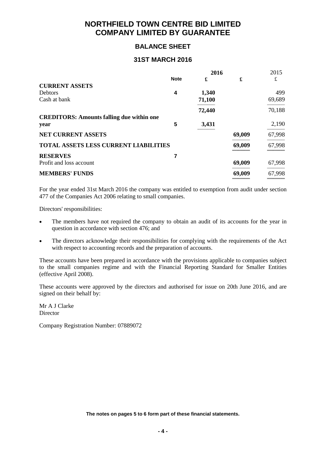### **BALANCE SHEET**

#### **31ST MARCH 2016**

|                                                  | 2016        |        |        | 2015   |
|--------------------------------------------------|-------------|--------|--------|--------|
|                                                  | <b>Note</b> | £      | £      | £      |
| <b>CURRENT ASSETS</b>                            |             |        |        |        |
| <b>Debtors</b>                                   | 4           | 1,340  |        | 499    |
| Cash at bank                                     |             | 71,100 |        | 69,689 |
|                                                  |             | 72,440 |        | 70,188 |
| <b>CREDITORS: Amounts falling due within one</b> |             |        |        |        |
| year                                             | 5           | 3,431  |        | 2,190  |
| <b>NET CURRENT ASSETS</b>                        |             |        | 69,009 | 67,998 |
| <b>TOTAL ASSETS LESS CURRENT LIABILITIES</b>     |             |        | 69,009 | 67,998 |
| <b>RESERVES</b>                                  |             |        |        |        |
| Profit and loss account                          |             |        | 69,009 | 67,998 |
| <b>MEMBERS' FUNDS</b>                            |             |        | 69,009 | 67,998 |
|                                                  |             |        |        |        |

For the year ended 31st March 2016 the company was entitled to exemption from audit under section 477 of the Companies Act 2006 relating to small companies.

Directors' responsibilities:

- The members have not required the company to obtain an audit of its accounts for the year in question in accordance with section 476; and
- The directors acknowledge their responsibilities for complying with the requirements of the Act with respect to accounting records and the preparation of accounts.

These accounts have been prepared in accordance with the provisions applicable to companies subject to the small companies regime and with the Financial Reporting Standard for Smaller Entities (effective April 2008).

These accounts were approved by the directors and authorised for issue on 20th June 2016, and are signed on their behalf by:

Mr A J Clarke Director

Company Registration Number: 07889072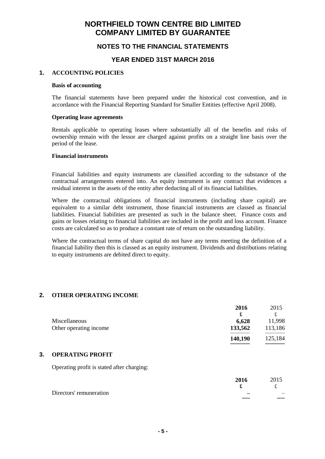### **NOTES TO THE FINANCIAL STATEMENTS**

#### **YEAR ENDED 31ST MARCH 2016**

#### **1. ACCOUNTING POLICIES**

#### **Basis of accounting**

The financial statements have been prepared under the historical cost convention, and in accordance with the Financial Reporting Standard for Smaller Entities (effective April 2008).

#### **Operating lease agreements**

Rentals applicable to operating leases where substantially all of the benefits and risks of ownership remain with the lessor are charged against profits on a straight line basis over the period of the lease.

#### **Financial instruments**

Financial liabilities and equity instruments are classified according to the substance of the contractual arrangements entered into. An equity instrument is any contract that evidences a residual interest in the assets of the entity after deducting all of its financial liabilities.

Where the contractual obligations of financial instruments (including share capital) are equivalent to a similar debt instrument, those financial instruments are classed as financial liabilities. Financial liabilities are presented as such in the balance sheet. Finance costs and gains or losses relating to financial liabilities are included in the profit and loss account. Finance costs are calculated so as to produce a constant rate of return on the outstanding liability.

Where the contractual terms of share capital do not have any terms meeting the definition of a financial liability then this is classed as an equity instrument. Dividends and distributions relating to equity instruments are debited direct to equity.

#### **2. OTHER OPERATING INCOME**

|    |                                            | 2016           | 2015    |
|----|--------------------------------------------|----------------|---------|
|    |                                            | £              | £       |
|    | Miscellaneous                              | 6,628          | 11,998  |
|    | Other operating income                     | 133,562        | 113,186 |
|    |                                            | 140,190        | 125,184 |
| 3. | <b>OPERATING PROFIT</b>                    |                |         |
|    | Operating profit is stated after charging: |                |         |
|    |                                            | 2016<br>$\sim$ | 2015    |

|                         | 2010 | 201J |
|-------------------------|------|------|
|                         |      |      |
| Directors' remuneration | _    |      |
|                         |      | ---- |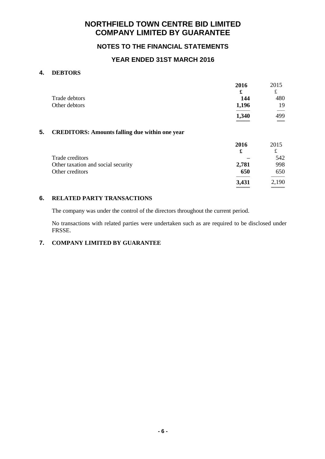### **NOTES TO THE FINANCIAL STATEMENTS**

### **YEAR ENDED 31ST MARCH 2016**

#### **4. DEBTORS**

|               | 2016  | 2015 |
|---------------|-------|------|
|               | £     | £    |
| Trade debtors | 144   | 480  |
| Other debtors | 1,196 | 19   |
|               | 1,340 | 499  |
|               |       | ___  |

#### **5. CREDITORS: Amounts falling due within one year**

|                                    | 2016<br>£ | 2015<br>£ |
|------------------------------------|-----------|-----------|
| Trade creditors                    |           | 542       |
| Other taxation and social security | 2,781     | 998       |
| Other creditors                    | 650       | 650       |
|                                    | 3,431     | 2,190     |

#### **6. RELATED PARTY TRANSACTIONS**

The company was under the control of the directors throughout the current period.

No transactions with related parties were undertaken such as are required to be disclosed under FRSSE.

### **7. COMPANY LIMITED BY GUARANTEE**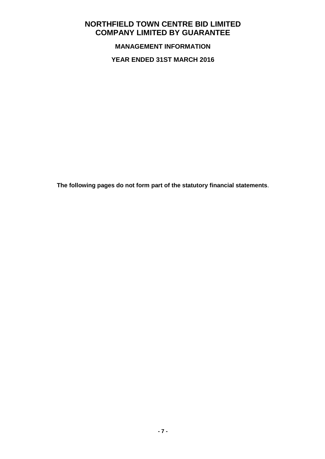**MANAGEMENT INFORMATION**

**YEAR ENDED 31ST MARCH 2016**

**The following pages do not form part of the statutory financial statements**.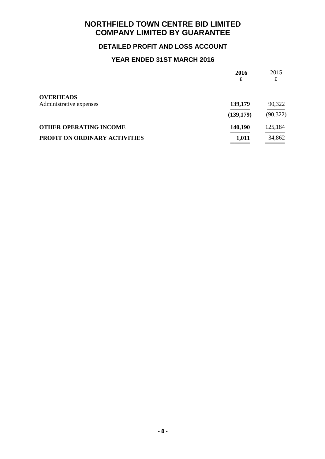# **DETAILED PROFIT AND LOSS ACCOUNT**

# **YEAR ENDED 31ST MARCH 2016**

|                               | 2016<br>£  | 2015<br>£ |
|-------------------------------|------------|-----------|
| <b>OVERHEADS</b>              |            |           |
| Administrative expenses       | 139,179    | 90,322    |
|                               | (139, 179) | (90, 322) |
| <b>OTHER OPERATING INCOME</b> | 140,190    | 125,184   |
| PROFIT ON ORDINARY ACTIVITIES | 1,011      | 34,862    |